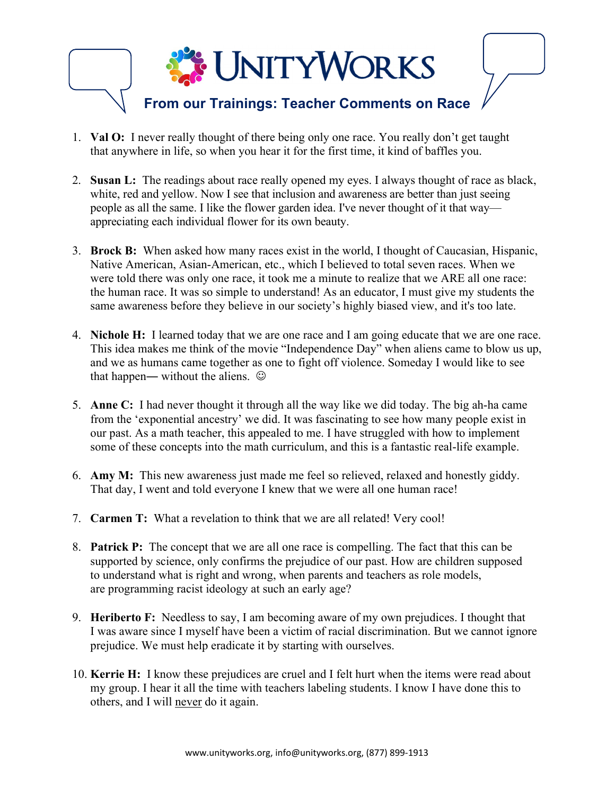

- 1. **Val O:** I never really thought of there being only one race. You really don't get taught that anywhere in life, so when you hear it for the first time, it kind of baffles you.
- 2. **Susan L:** The readings about race really opened my eyes. I always thought of race as black, white, red and yellow. Now I see that inclusion and awareness are better than just seeing people as all the same. I like the flower garden idea. I've never thought of it that way appreciating each individual flower for its own beauty.
- 3. **Brock B:** When asked how many races exist in the world, I thought of Caucasian, Hispanic, Native American, Asian-American, etc., which I believed to total seven races. When we were told there was only one race, it took me a minute to realize that we ARE all one race: the human race. It was so simple to understand! As an educator, I must give my students the same awareness before they believe in our society's highly biased view, and it's too late.
- 4. **Nichole H:** I learned today that we are one race and I am going educate that we are one race. This idea makes me think of the movie "Independence Day" when aliens came to blow us up, and we as humans came together as one to fight off violence. Someday I would like to see that happen— without the aliens.  $\odot$
- 5. **Anne C:** I had never thought it through all the way like we did today. The big ah-ha came from the 'exponential ancestry' we did. It was fascinating to see how many people exist in our past. As a math teacher, this appealed to me. I have struggled with how to implement some of these concepts into the math curriculum, and this is a fantastic real-life example.
- 6. **Amy M:** This new awareness just made me feel so relieved, relaxed and honestly giddy. That day, I went and told everyone I knew that we were all one human race!
- 7. **Carmen T:** What a revelation to think that we are all related! Very cool!
- 8. **Patrick P:** The concept that we are all one race is compelling. The fact that this can be supported by science, only confirms the prejudice of our past. How are children supposed to understand what is right and wrong, when parents and teachers as role models, are programming racist ideology at such an early age?
- 9. **Heriberto F:** Needless to say, I am becoming aware of my own prejudices. I thought that I was aware since I myself have been a victim of racial discrimination. But we cannot ignore prejudice. We must help eradicate it by starting with ourselves.
- 10. **Kerrie H:** I know these prejudices are cruel and I felt hurt when the items were read about my group. I hear it all the time with teachers labeling students. I know I have done this to others, and I will never do it again.